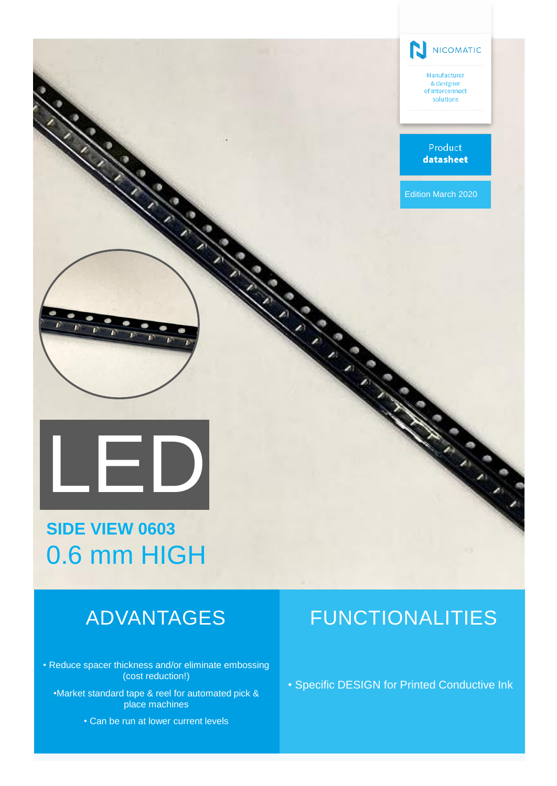

**SIDE VIEW 0603** 0.6 mm HIGH

• Reduce spacer thickness and/or eliminate embossing (cost reduction!)

•Market standard tape & reel for automated pick & place machines

• Can be run at lower current levels

# ADVANTAGES FUNCTIONALITIES

• Specific DESIGN for Printed Conductive Ink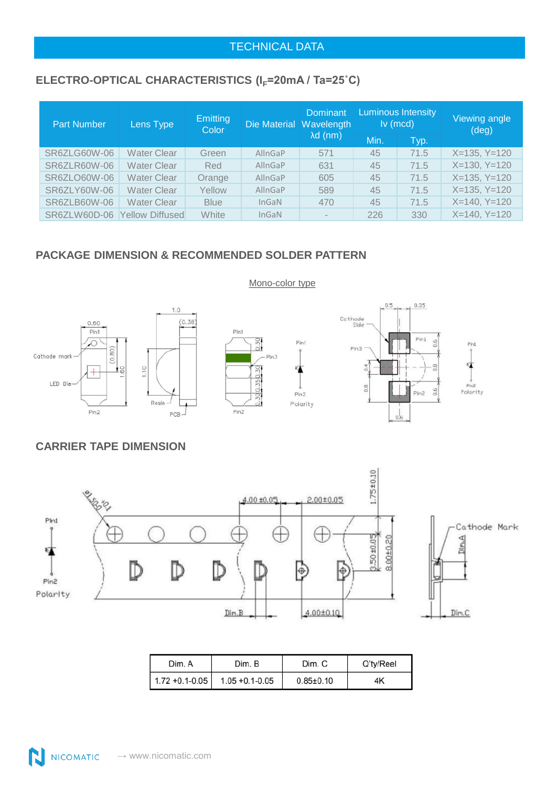### TECHNICAL DATA

# ELECTRO-OPTICAL CHARACTERISTICS (I<sub>F</sub>=20mA / Ta=25°C)

| <b>Part Number</b>  | Lens Type              | <b>Emitting</b><br><b>Color</b> | Die Material Wavelength | <b>Dominant</b><br>$\lambda d$ (nm) | <b>Luminous Intensity</b><br>$lv$ (mcd) |      | Viewing angle<br>$(\text{deg})$ |  |
|---------------------|------------------------|---------------------------------|-------------------------|-------------------------------------|-----------------------------------------|------|---------------------------------|--|
|                     |                        |                                 |                         |                                     | Min.                                    | Typ. |                                 |  |
| SR6ZLG60W-06        | Water Clear            | Green                           | AllnGaP                 | 571                                 | 45                                      | 71.5 | $X=135, Y=120$                  |  |
| <b>SR6ZLR60W-06</b> | <b>Water Clear</b>     | Red                             | AllnGaP                 | 631                                 | 45                                      | 71.5 | $X=130, Y=120$                  |  |
| SR6ZLO60W-06        | <b>Water Clear</b>     | Orange                          | AllnGaP                 | 605                                 | 45                                      | 71.5 | $X=135, Y=120$                  |  |
| SR6ZLY60W-06        | Water Clear            | Yellow                          | AllnGaP                 | 589                                 | 45                                      | 71.5 | $X=135, Y=120$                  |  |
| SR6ZLB60W-06        | Water Clear            | <b>Blue</b>                     | InGaN                   | 470                                 | 45                                      | 71.5 | $X=140, Y=120$                  |  |
| SR6ZLW60D-06        | <b>Yellow Diffused</b> | White                           | InGaN                   | $\sim$                              | 226                                     | 330  | $X=140, Y=120$                  |  |

## **PACKAGE DIMENSION & RECOMMENDED SOLDER PATTERN**



#### **CARRIER TAPE DIMENSION**



| Dim. A              | Dim. B              | Dim. C          | Q'ty/Reel |
|---------------------|---------------------|-----------------|-----------|
| $1.72 + 0.1 - 0.05$ | $1.05 + 0.1 - 0.05$ | $0.85{\pm}0.10$ | 4K        |